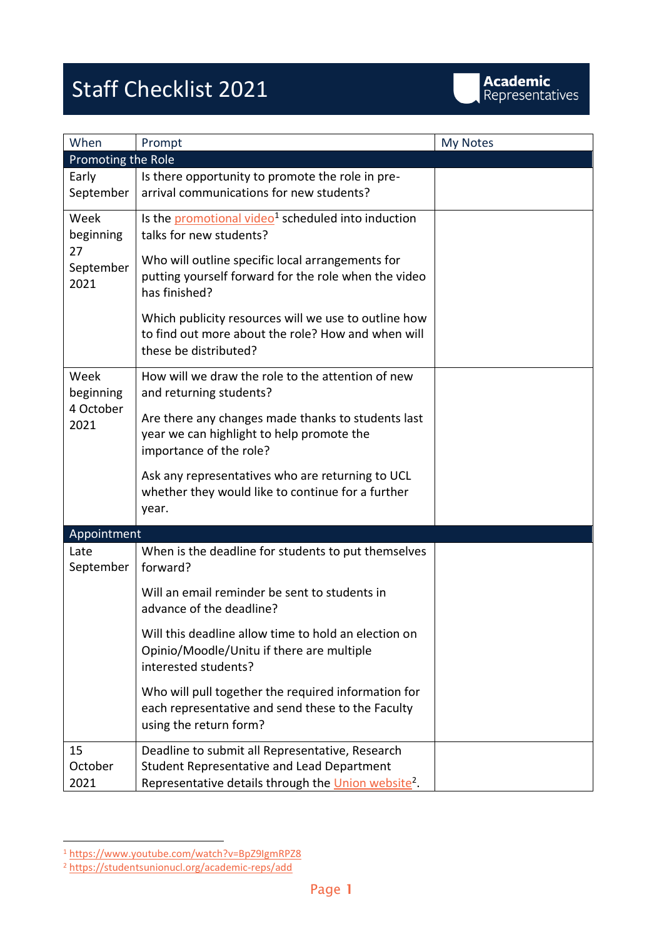## Staff Checklist 2021

| When                                         | Prompt                                                                                                                                                                                                                 | My Notes |
|----------------------------------------------|------------------------------------------------------------------------------------------------------------------------------------------------------------------------------------------------------------------------|----------|
| Promoting the Role                           |                                                                                                                                                                                                                        |          |
| Early<br>September                           | Is there opportunity to promote the role in pre-<br>arrival communications for new students?                                                                                                                           |          |
| Week<br>beginning<br>27<br>September<br>2021 | Is the promotional video <sup>1</sup> scheduled into induction<br>talks for new students?<br>Who will outline specific local arrangements for<br>putting yourself forward for the role when the video<br>has finished? |          |
|                                              | Which publicity resources will we use to outline how<br>to find out more about the role? How and when will<br>these be distributed?                                                                                    |          |
| Week<br>beginning<br>4 October<br>2021       | How will we draw the role to the attention of new<br>and returning students?                                                                                                                                           |          |
|                                              | Are there any changes made thanks to students last<br>year we can highlight to help promote the<br>importance of the role?                                                                                             |          |
|                                              | Ask any representatives who are returning to UCL<br>whether they would like to continue for a further<br>year.                                                                                                         |          |
| Appointment                                  |                                                                                                                                                                                                                        |          |
| Late<br>September                            | When is the deadline for students to put themselves<br>forward?                                                                                                                                                        |          |
|                                              | Will an email reminder be sent to students in<br>advance of the deadline?                                                                                                                                              |          |
|                                              | Will this deadline allow time to hold an election on<br>Opinio/Moodle/Unitu if there are multiple<br>interested students?                                                                                              |          |
|                                              | Who will pull together the required information for<br>each representative and send these to the Faculty<br>using the return form?                                                                                     |          |
| 15<br>October<br>2021                        | Deadline to submit all Representative, Research<br>Student Representative and Lead Department<br>Representative details through the Union website <sup>2</sup> .                                                       |          |

<sup>1</sup> <https://www.youtube.com/watch?v=BpZ9IgmRPZ8>

<sup>2</sup> <https://studentsunionucl.org/academic-reps/add>